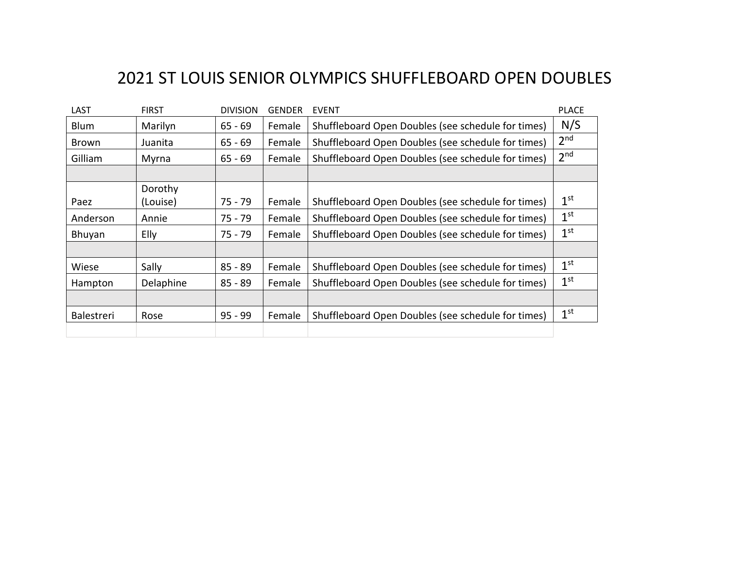## 2021 ST LOUIS SENIOR OLYMPICS SHUFFLEBOARD OPEN DOUBLES

| LAST              | <b>FIRST</b> | <b>DIVISION</b> | <b>GENDER</b> | <b>EVENT</b>                                       | <b>PLACE</b>    |
|-------------------|--------------|-----------------|---------------|----------------------------------------------------|-----------------|
| Blum              | Marilyn      | $65 - 69$       | Female        | Shuffleboard Open Doubles (see schedule for times) | N/S             |
| Brown             | Juanita      | $65 - 69$       | Female        | Shuffleboard Open Doubles (see schedule for times) | 2 <sup>nd</sup> |
| Gilliam           | Myrna        | $65 - 69$       | Female        | Shuffleboard Open Doubles (see schedule for times) | 2 <sup>nd</sup> |
|                   |              |                 |               |                                                    |                 |
|                   | Dorothy      |                 |               |                                                    |                 |
| Paez              | (Louise)     | 75 - 79         | Female        | Shuffleboard Open Doubles (see schedule for times) | 1 <sup>st</sup> |
| Anderson          | Annie        | $75 - 79$       | Female        | Shuffleboard Open Doubles (see schedule for times) | 1 <sup>st</sup> |
| Bhuyan            | Elly         | 75 - 79         | Female        | Shuffleboard Open Doubles (see schedule for times) | 1 <sup>st</sup> |
|                   |              |                 |               |                                                    |                 |
| Wiese             | Sally        | $85 - 89$       | Female        | Shuffleboard Open Doubles (see schedule for times) | 1 <sup>st</sup> |
| Hampton           | Delaphine    | $85 - 89$       | Female        | Shuffleboard Open Doubles (see schedule for times) | 1 <sup>st</sup> |
|                   |              |                 |               |                                                    |                 |
| <b>Balestreri</b> | Rose         | $95 - 99$       | Female        | Shuffleboard Open Doubles (see schedule for times) | 1 <sup>st</sup> |
|                   |              |                 |               |                                                    |                 |